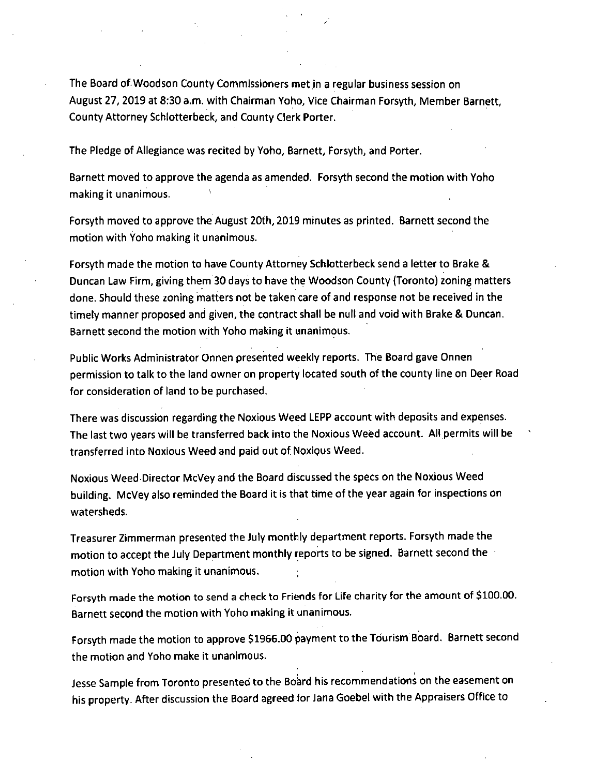The Board of Woodson County Commissioners met in a regular business session on August 27, 2019 at 8:30 a.m. with Chairman Yoho, Vice Chairman Forsyth, Member Barnett, County Attorney Schlotterbeck, and County Clerk Porter.

The Pledge of Allegiance was recited by Yoho, Barnett, Forsyth, and Porter.

Barnett moved to approve the agenda as amended. Forsyth second the motion with Yoho making it unanimous.

Forsyth moved to approve the August 20th, 2019 minutes as printed. Barnett second the motion with Yoho making it unanimous.

Forsyth made the motion to have County Attorney Schlotterbeck send a letter to Brake & Duncan Law Firm, giving them 30 days to have the Woodson County (Toronto) zoning matters done. Should these zoning matters not be taken care of and response not be received in the timely manner proposed and given, the contract shall be null and void with Brake & Duncan. Barnett second the motion with Yoho making it unanimous.

Public Works Administrator Onnen presented weekly reports. The Board gave Onnen permission to talk to the land owner on property located south of the county line on Deer Road for consideration of land to be purchased.

There was discussion regarding the Noxious Weed LEPP account with deposits and expenses. The last two years will be transferred back into the Noxious Weed account. All permits will be transferred into Noxious Weed and paid out of Noxious Weed.

Noxious Weed•Director McVey and the Board discussed the specs on the Noxious Weed building. McVey also reminded the Board it is that time of the year again for inspections on watersheds.

Treasurer Zimmerman presented the July monthly department reports. Forsyth made the motion to accept the July Department monthly reports to be signed. Barnett second the motion with Yoho making it unanimous.

Forsyth made the motion to send a check to Friends for Life charity for the amount of \$100.00. Barnett second the motion with Yoho making it unanimous.

Forsyth made the motion to approve \$1966.00 payment to the Tourism Board. Barnett second the motion and Yoho make it unanimous.

Jesse Sample from Toronto presented to the Board his recommendations on the easement on his property. After discussion the Board agreed for Jana Goebel with the Appraisers Office to